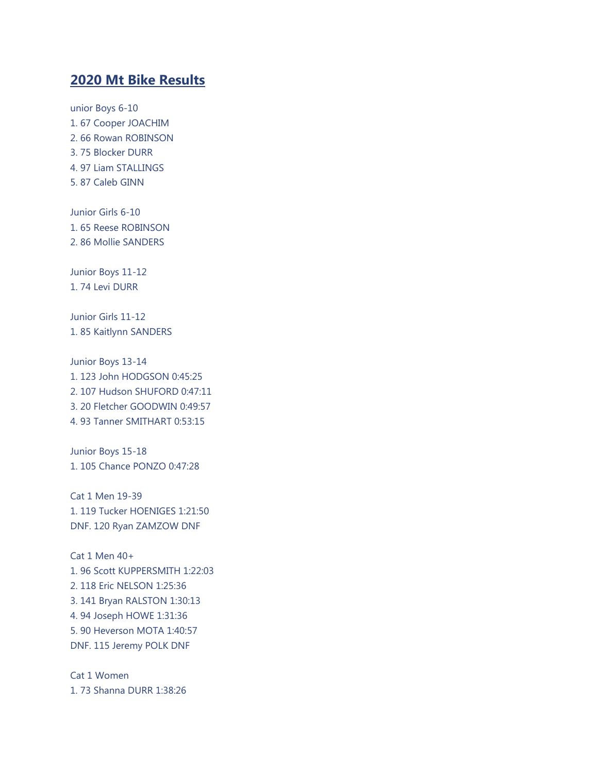## **2020 Mt Bike Results**

unior Boys 6-10 1. 67 Cooper JOACHIM 2. 66 Rowan ROBINSON 3. 75 Blocker DURR 4. 97 Liam STALLINGS 5. 87 Caleb GINN

Junior Girls 6-10 1. 65 Reese ROBINSON 2. 86 Mollie SANDERS

Junior Boys 11-12 1. 74 Levi DURR

Junior Girls 11-12 1. 85 Kaitlynn SANDERS

Junior Boys 13-14 1. 123 John HODGSON 0:45:25 2. 107 Hudson SHUFORD 0:47:11 3. 20 Fletcher GOODWIN 0:49:57 4. 93 Tanner SMITHART 0:53:15

Junior Boys 15-18 1. 105 Chance PONZO 0:47:28

Cat 1 Men 19-39 1. 119 Tucker HOENIGES 1:21:50 DNF. 120 Ryan ZAMZOW DNF

Cat 1 Men 40+ 1. 96 Scott KUPPERSMITH 1:22:03 2. 118 Eric NELSON 1:25:36 3. 141 Bryan RALSTON 1:30:13 4. 94 Joseph HOWE 1:31:36 5. 90 Heverson MOTA 1:40:57 DNF. 115 Jeremy POLK DNF

Cat 1 Women 1. 73 Shanna DURR 1:38:26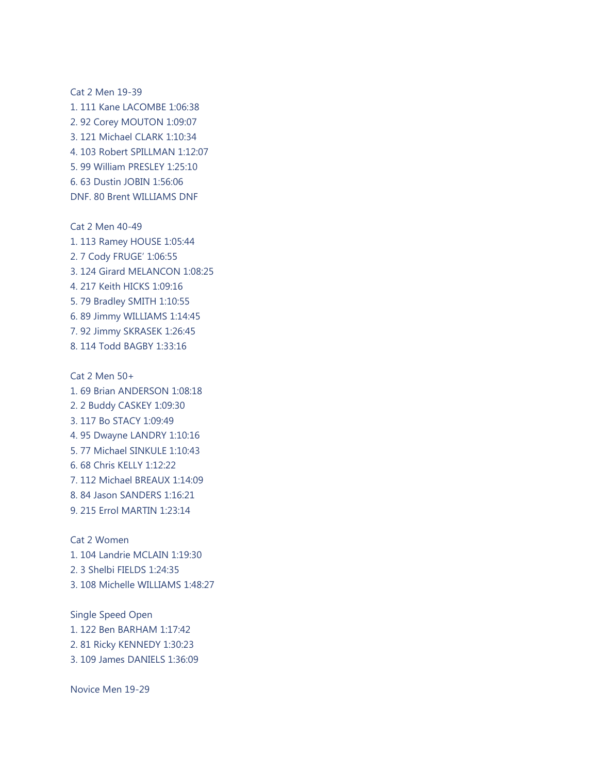Cat 2 Men 19-39 1. 111 Kane LACOMBE 1:06:38 2. 92 Corey MOUTON 1:09:07 3. 121 Michael CLARK 1:10:34 4. 103 Robert SPILLMAN 1:12:07 5. 99 William PRESLEY 1:25:10 6. 63 Dustin JOBIN 1:56:06 DNF. 80 Brent WILLIAMS DNF

Cat 2 Men 40-49 1. 113 Ramey HOUSE 1:05:44 2. 7 Cody FRUGE' 1:06:55 3. 124 Girard MELANCON 1:08:25 4. 217 Keith HICKS 1:09:16 5. 79 Bradley SMITH 1:10:55 6. 89 Jimmy WILLIAMS 1:14:45 7. 92 Jimmy SKRASEK 1:26:45 8. 114 Todd BAGBY 1:33:16

Cat 2 Men 50+ 1. 69 Brian ANDERSON 1:08:18 2. 2 Buddy CASKEY 1:09:30 3. 117 Bo STACY 1:09:49 4. 95 Dwayne LANDRY 1:10:16 5. 77 Michael SINKULE 1:10:43 6. 68 Chris KELLY 1:12:22 7. 112 Michael BREAUX 1:14:09 8. 84 Jason SANDERS 1:16:21 9. 215 Errol MARTIN 1:23:14

Cat 2 Women 1. 104 Landrie MCLAIN 1:19:30 2. 3 Shelbi FIELDS 1:24:35 3. 108 Michelle WILLIAMS 1:48:27

Single Speed Open 1. 122 Ben BARHAM 1:17:42 2. 81 Ricky KENNEDY 1:30:23 3. 109 James DANIELS 1:36:09

Novice Men 19-29